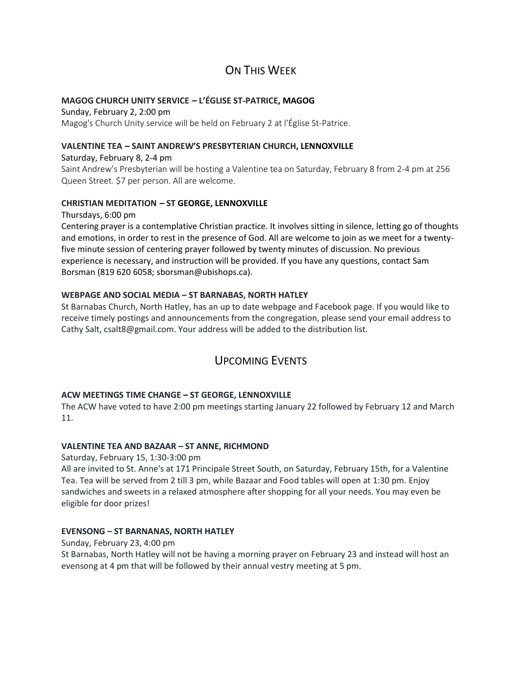# ON THIS WFFK

# **MAGOG CHURCH UNITY SERVICE – L'ÉGLISE ST-PATRICE, MAGOG**

Sunday, February 2, 2:00 pm Magog's Church Unity service will be held on February 2 at l'Église St-Patrice.

#### **VALENTINE TEA – SAINT ANDREW'S PRESBYTERIAN CHURCH, LENNOXVILLE**

#### Saturday, February 8, 2-4 pm

Saint Andrew's Presbyterian will be hosting a Valentine tea on Saturday, February 8 from 2-4 pm at 256 Queen Street. \$7 per person. All are welcome.

### **CHRISTIAN MEDITATION – ST GEORGE, LENNOXVILLE**

Thursdays, 6:00 pm

Centering prayer is a contemplative Christian practice. It involves sitting in silence, letting go of thoughts and emotions, in order to rest in the presence of God. All are welcome to join as we meet for a twentyfive minute session of centering prayer followed by twenty minutes of discussion. No previous experience is necessary, and instruction will be provided. If you have any questions, contact Sam Borsman (819 620 6058; sborsman@ubishops.ca).

### **WEBPAGE AND SOCIAL MEDIA – ST BARNABAS, NORTH HATLEY**

St Barnabas Church, North Hatley, has an up to date webpage and Facebook page. If you would like to receive timely postings and announcements from the congregation, please send your email address to Cathy Salt, csalt8@gmail.com. Your address will be added to the distribution list.

# UPCOMING EVENTS

# **ACW MEETINGS TIME CHANGE – ST GEORGE, LENNOXVILLE**

The ACW have voted to have 2:00 pm meetings starting January 22 followed by February 12 and March 11.

### **VALENTINE TEA AND BAZAAR – ST ANNE, RICHMOND**

Saturday, February 15, 1:30-3:00 pm All are invited to St. Anne's at 171 Principale Street South, on Saturday, February 15th, for a Valentine Tea. Tea will be served from 2 till 3 pm, while Bazaar and Food tables will open at 1:30 pm. Enjoy sandwiches and sweets in a relaxed atmosphere after shopping for all your needs. You may even be eligible for door prizes!

### **EVENSONG – ST BARNANAS, NORTH HATLEY**

Sunday, February 23, 4:00 pm St Barnabas, North Hatley will not be having a morning prayer on February 23 and instead will host an evensong at 4 pm that will be followed by their annual vestry meeting at 5 pm.